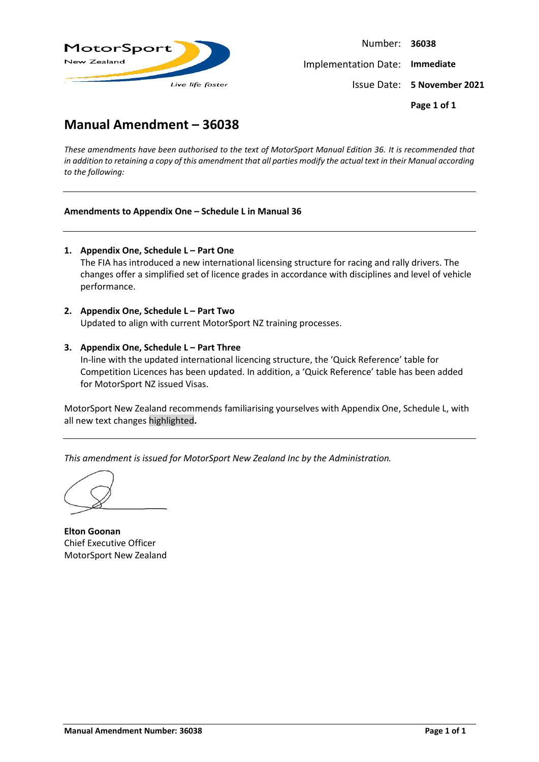

Number: **36038** Implementation Date: **Immediate** Issue Date: **5 November 2021 Page 1 of 1**

# **Manual Amendment – 36038**

*These amendments have been authorised to the text of MotorSport Manual Edition 36. It is recommended that in addition to retaining a copy of this amendment that all parties modify the actual text in their Manual according to the following:*

#### **Amendments to Appendix One – Schedule L in Manual 36**

- **1. Appendix One, Schedule L – Part One** The FIA has introduced a new international licensing structure for racing and rally drivers. The changes offer a simplified set of licence grades in accordance with disciplines and level of vehicle performance.
- **2. Appendix One, Schedule L – Part Two** Updated to align with current MotorSport NZ training processes.
- **3. Appendix One, Schedule L – Part Three** In-line with the updated international licencing structure, the 'Quick Reference' table for Competition Licences has been updated. In addition, a 'Quick Reference' table has been added for MotorSport NZ issued Visas.

MotorSport New Zealand recommends familiarising yourselves with Appendix One, Schedule L, with all new text changes highlighted**.**

*This amendment is issued for MotorSport New Zealand Inc by the Administration.*

**Elton Goonan** Chief Executive Officer MotorSport New Zealand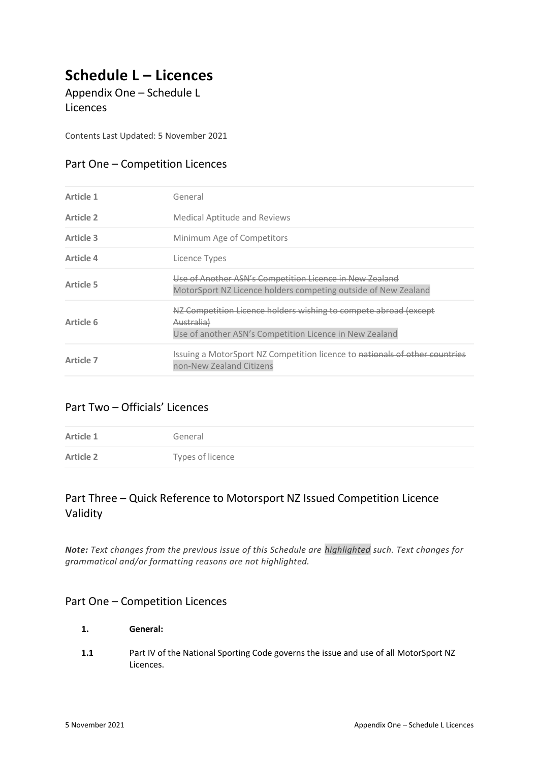# **Schedule L – Licences**

Appendix One – Schedule L Licences

Contents Last Updated: 5 November 2021

### Part One – Competition Licences

| Article 1 | General                                                                                                                                              |
|-----------|------------------------------------------------------------------------------------------------------------------------------------------------------|
| Article 2 | <b>Medical Aptitude and Reviews</b>                                                                                                                  |
| Article 3 | Minimum Age of Competitors                                                                                                                           |
| Article 4 | Licence Types                                                                                                                                        |
| Article 5 | Use of Another ASN's Competition Licence in New Zealand<br>MotorSport NZ Licence holders competing outside of New Zealand                            |
| Article 6 | NZ Competition Licence holders wishing to compete abroad (except<br><del>Australia)</del><br>Use of another ASN's Competition Licence in New Zealand |
| Article 7 | Issuing a MotorSport NZ Competition licence to nationals of other countries<br>non-New Zealand Citizens                                              |

### Part Two – Officials' Licences

| Article 1        | General          |
|------------------|------------------|
| <b>Article 2</b> | Types of licence |

## Part Three – Quick Reference to Motorsport NZ Issued Competition Licence Validity

*Note: Text changes from the previous issue of this Schedule are highlighted such. Text changes for grammatical and/or formatting reasons are not highlighted.*

### Part One – Competition Licences

- **1. General:**
- **1.1** Part IV of the National Sporting Code governs the issue and use of all MotorSport NZ Licences.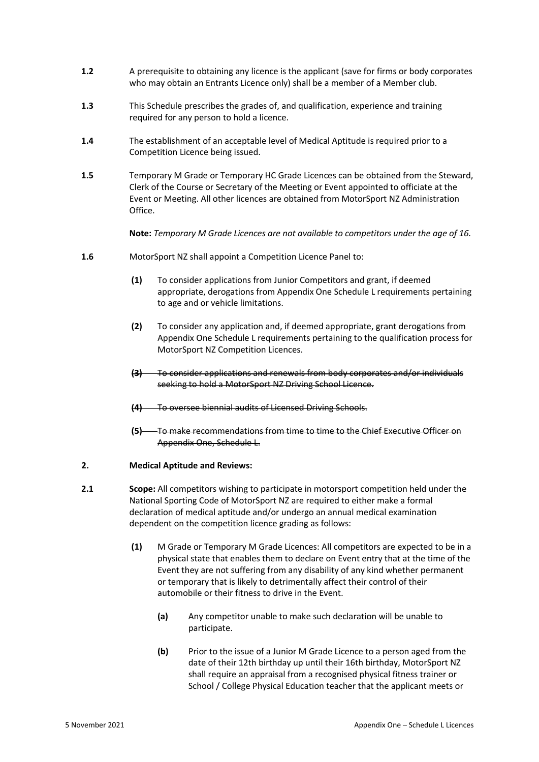- **1.2** A prerequisite to obtaining any licence is the applicant (save for firms or body corporates who may obtain an Entrants Licence only) shall be a member of a Member club.
- **1.3** This Schedule prescribes the grades of, and qualification, experience and training required for any person to hold a licence.
- **1.4** The establishment of an acceptable level of Medical Aptitude is required prior to a Competition Licence being issued.
- **1.5** Temporary M Grade or Temporary HC Grade Licences can be obtained from the Steward, Clerk of the Course or Secretary of the Meeting or Event appointed to officiate at the Event or Meeting. All other licences are obtained from MotorSport NZ Administration Office.

**Note:** *Temporary M Grade Licences are not available to competitors under the age of 16.*

- **1.6** MotorSport NZ shall appoint a Competition Licence Panel to:
	- **(1)** To consider applications from Junior Competitors and grant, if deemed appropriate, derogations from Appendix One Schedule L requirements pertaining to age and or vehicle limitations.
	- **(2)** To consider any application and, if deemed appropriate, grant derogations from Appendix One Schedule L requirements pertaining to the qualification process for MotorSport NZ Competition Licences.
	- **(3)** To consider applications and renewals from body corporates and/or individuals seeking to hold a MotorSport NZ Driving School Licence.
	- **(4)** To oversee biennial audits of Licensed Driving Schools.
	- **(5)** To make recommendations from time to time to the Chief Executive Officer on Appendix One, Schedule L.

#### **2. Medical Aptitude and Reviews:**

- **2.1 Scope:** All competitors wishing to participate in motorsport competition held under the National Sporting Code of MotorSport NZ are required to either make a formal declaration of medical aptitude and/or undergo an annual medical examination dependent on the competition licence grading as follows:
	- **(1)** M Grade or Temporary M Grade Licences: All competitors are expected to be in a physical state that enables them to declare on Event entry that at the time of the Event they are not suffering from any disability of any kind whether permanent or temporary that is likely to detrimentally affect their control of their automobile or their fitness to drive in the Event.
		- **(a)** Any competitor unable to make such declaration will be unable to participate.
		- **(b)** Prior to the issue of a Junior M Grade Licence to a person aged from the date of their 12th birthday up until their 16th birthday, MotorSport NZ shall require an appraisal from a recognised physical fitness trainer or School / College Physical Education teacher that the applicant meets or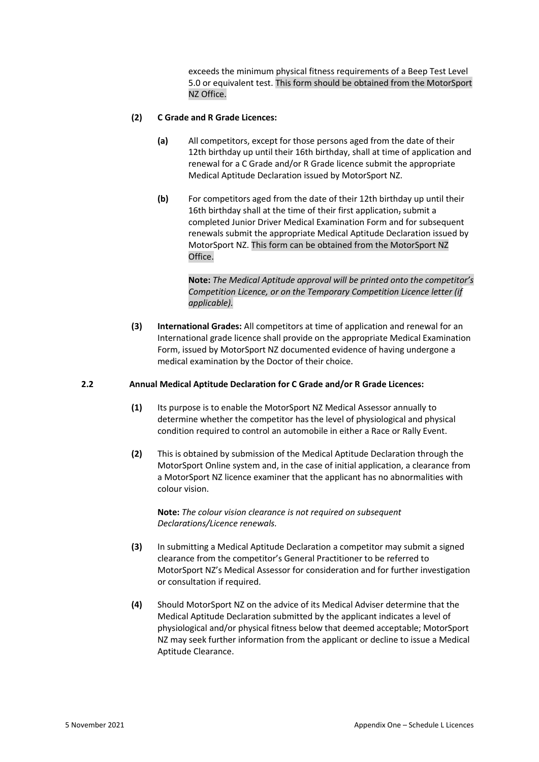exceeds the minimum physical fitness requirements of a Beep Test Level 5.0 or equivalent test. This form should be obtained from the MotorSport NZ Office.

#### **(2) C Grade and R Grade Licences:**

- **(a)** All competitors, except for those persons aged from the date of their 12th birthday up until their 16th birthday, shall at time of application and renewal for a C Grade and/or R Grade licence submit the appropriate Medical Aptitude Declaration issued by MotorSport NZ.
- **(b)** For competitors aged from the date of their 12th birthday up until their 16th birthday shall at the time of their first application, submit a completed Junior Driver Medical Examination Form and for subsequent renewals submit the appropriate Medical Aptitude Declaration issued by MotorSport NZ. This form can be obtained from the MotorSport NZ Office.

**Note:** *The Medical Aptitude approval will be printed onto the competitor's Competition Licence, or on the Temporary Competition Licence letter (if applicable).*

**(3) International Grades:** All competitors at time of application and renewal for an International grade licence shall provide on the appropriate Medical Examination Form, issued by MotorSport NZ documented evidence of having undergone a medical examination by the Doctor of their choice.

#### **2.2 Annual Medical Aptitude Declaration for C Grade and/or R Grade Licences:**

- **(1)** Its purpose is to enable the MotorSport NZ Medical Assessor annually to determine whether the competitor has the level of physiological and physical condition required to control an automobile in either a Race or Rally Event.
- **(2)** This is obtained by submission of the Medical Aptitude Declaration through the MotorSport Online system and, in the case of initial application, a clearance from a MotorSport NZ licence examiner that the applicant has no abnormalities with colour vision.

**Note:** *The colour vision clearance is not required on subsequent Declarations/Licence renewals.*

- **(3)** In submitting a Medical Aptitude Declaration a competitor may submit a signed clearance from the competitor's General Practitioner to be referred to MotorSport NZ's Medical Assessor for consideration and for further investigation or consultation if required.
- **(4)** Should MotorSport NZ on the advice of its Medical Adviser determine that the Medical Aptitude Declaration submitted by the applicant indicates a level of physiological and/or physical fitness below that deemed acceptable; MotorSport NZ may seek further information from the applicant or decline to issue a Medical Aptitude Clearance.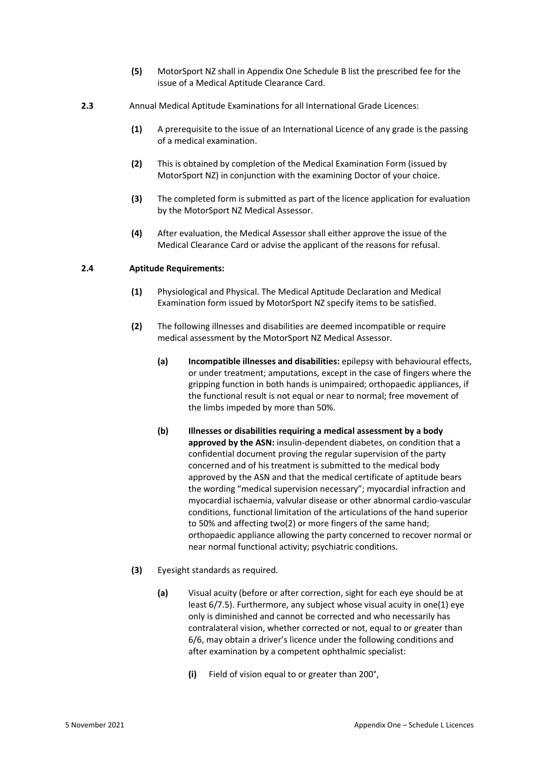- **(5)** MotorSport NZ shall in Appendix One Schedule B list the prescribed fee for the issue of a Medical Aptitude Clearance Card.
- **2.3** Annual Medical Aptitude Examinations for all International Grade Licences:
	- **(1)** A prerequisite to the issue of an International Licence of any grade is the passing of a medical examination.
	- **(2)** This is obtained by completion of the Medical Examination Form (issued by MotorSport NZ) in conjunction with the examining Doctor of your choice.
	- **(3)** The completed form is submitted as part of the licence application for evaluation by the MotorSport NZ Medical Assessor.
	- **(4)** After evaluation, the Medical Assessor shall either approve the issue of the Medical Clearance Card or advise the applicant of the reasons for refusal.

#### **2.4 Aptitude Requirements:**

- **(1)** Physiological and Physical. The Medical Aptitude Declaration and Medical Examination form issued by MotorSport NZ specify items to be satisfied.
- **(2)** The following illnesses and disabilities are deemed incompatible or require medical assessment by the MotorSport NZ Medical Assessor.
	- **(a) Incompatible illnesses and disabilities:** epilepsy with behavioural effects, or under treatment; amputations, except in the case of fingers where the gripping function in both hands is unimpaired; orthopaedic appliances, if the functional result is not equal or near to normal; free movement of the limbs impeded by more than 50%.
	- **(b) Illnesses or disabilities requiring a medical assessment by a body approved by the ASN:** insulin-dependent diabetes, on condition that a confidential document proving the regular supervision of the party concerned and of his treatment is submitted to the medical body approved by the ASN and that the medical certificate of aptitude bears the wording "medical supervision necessary"; myocardial infraction and myocardial ischaemia, valvular disease or other abnormal cardio-vascular conditions, functional limitation of the articulations of the hand superior to 50% and affecting two(2) or more fingers of the same hand; orthopaedic appliance allowing the party concerned to recover normal or near normal functional activity; psychiatric conditions.
- **(3)** Eyesight standards as required.
	- **(a)** Visual acuity (before or after correction, sight for each eye should be at least 6/7.5). Furthermore, any subject whose visual acuity in one(1) eye only is diminished and cannot be corrected and who necessarily has contralateral vision, whether corrected or not, equal to or greater than 6/6, may obtain a driver's licence under the following conditions and after examination by a competent ophthalmic specialist:
		- **(i)** Field of vision equal to or greater than 200°,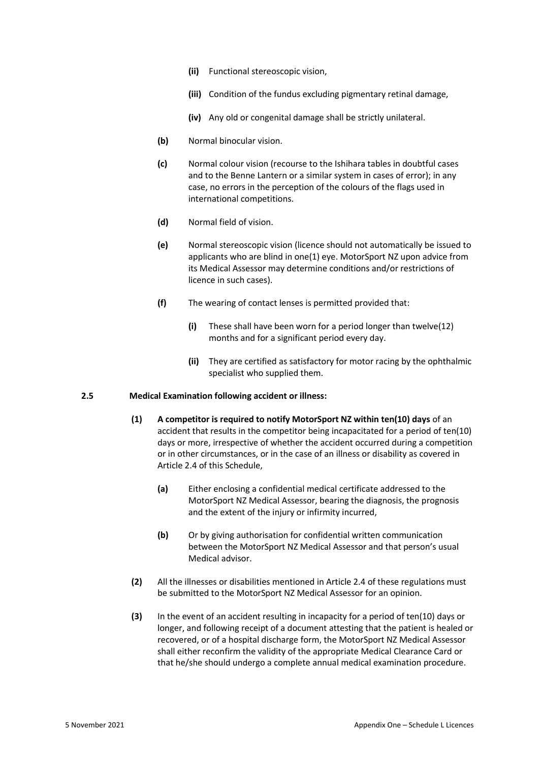- **(ii)** Functional stereoscopic vision,
- **(iii)** Condition of the fundus excluding pigmentary retinal damage,
- **(iv)** Any old or congenital damage shall be strictly unilateral.
- **(b)** Normal binocular vision.
- **(c)** Normal colour vision (recourse to the Ishihara tables in doubtful cases and to the Benne Lantern or a similar system in cases of error); in any case, no errors in the perception of the colours of the flags used in international competitions.
- **(d)** Normal field of vision.
- **(e)** Normal stereoscopic vision (licence should not automatically be issued to applicants who are blind in one(1) eye. MotorSport NZ upon advice from its Medical Assessor may determine conditions and/or restrictions of licence in such cases).
- **(f)** The wearing of contact lenses is permitted provided that:
	- **(i)** These shall have been worn for a period longer than twelve(12) months and for a significant period every day.
	- **(ii)** They are certified as satisfactory for motor racing by the ophthalmic specialist who supplied them.

#### **2.5 Medical Examination following accident or illness:**

- **(1) A competitor is required to notify MotorSport NZ within ten(10) days** of an accident that results in the competitor being incapacitated for a period of ten(10) days or more, irrespective of whether the accident occurred during a competition or in other circumstances, or in the case of an illness or disability as covered in Article 2.4 of this Schedule,
	- **(a)** Either enclosing a confidential medical certificate addressed to the MotorSport NZ Medical Assessor, bearing the diagnosis, the prognosis and the extent of the injury or infirmity incurred,
	- **(b)** Or by giving authorisation for confidential written communication between the MotorSport NZ Medical Assessor and that person's usual Medical advisor.
- **(2)** All the illnesses or disabilities mentioned in Article 2.4 of these regulations must be submitted to the MotorSport NZ Medical Assessor for an opinion.
- **(3)** In the event of an accident resulting in incapacity for a period of ten(10) days or longer, and following receipt of a document attesting that the patient is healed or recovered, or of a hospital discharge form, the MotorSport NZ Medical Assessor shall either reconfirm the validity of the appropriate Medical Clearance Card or that he/she should undergo a complete annual medical examination procedure.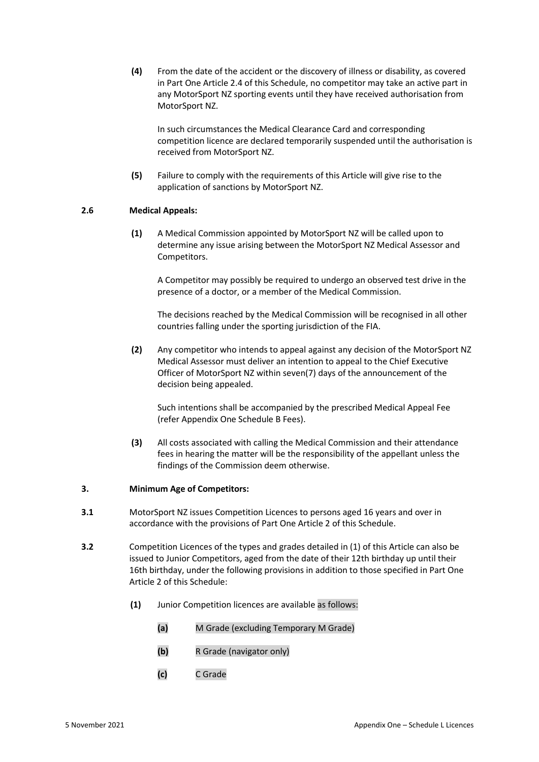**(4)** From the date of the accident or the discovery of illness or disability, as covered in Part One Article 2.4 of this Schedule, no competitor may take an active part in any MotorSport NZ sporting events until they have received authorisation from MotorSport NZ.

In such circumstances the Medical Clearance Card and corresponding competition licence are declared temporarily suspended until the authorisation is received from MotorSport NZ.

**(5)** Failure to comply with the requirements of this Article will give rise to the application of sanctions by MotorSport NZ.

#### **2.6 Medical Appeals:**

**(1)** A Medical Commission appointed by MotorSport NZ will be called upon to determine any issue arising between the MotorSport NZ Medical Assessor and Competitors.

A Competitor may possibly be required to undergo an observed test drive in the presence of a doctor, or a member of the Medical Commission.

The decisions reached by the Medical Commission will be recognised in all other countries falling under the sporting jurisdiction of the FIA.

**(2)** Any competitor who intends to appeal against any decision of the MotorSport NZ Medical Assessor must deliver an intention to appeal to the Chief Executive Officer of MotorSport NZ within seven(7) days of the announcement of the decision being appealed.

Such intentions shall be accompanied by the prescribed Medical Appeal Fee (refer Appendix One Schedule B Fees).

**(3)** All costs associated with calling the Medical Commission and their attendance fees in hearing the matter will be the responsibility of the appellant unless the findings of the Commission deem otherwise.

#### **3. Minimum Age of Competitors:**

- **3.1** MotorSport NZ issues Competition Licences to persons aged 16 years and over in accordance with the provisions of Part One Article 2 of this Schedule.
- **3.2** Competition Licences of the types and grades detailed in (1) of this Article can also be issued to Junior Competitors, aged from the date of their 12th birthday up until their 16th birthday, under the following provisions in addition to those specified in Part One Article 2 of this Schedule:
	- **(1)** Junior Competition licences are available as follows:
		- **(a)** M Grade (excluding Temporary M Grade)
		- **(b)** R Grade (navigator only)
		- **(c)** C Grade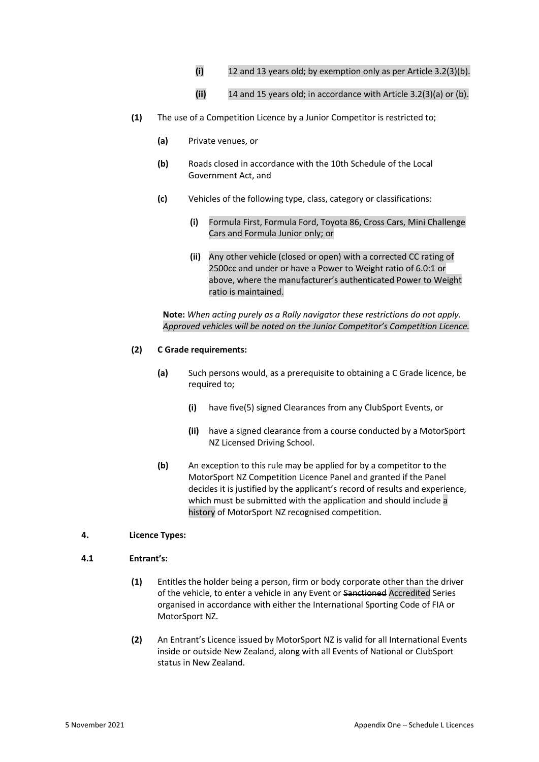- **(i)** 12 and 13 years old; by exemption only as per Article 3.2(3)(b).
- **(ii)** 14 and 15 years old; in accordance with Article 3.2(3)(a) or (b).
- **(1)** The use of a Competition Licence by a Junior Competitor is restricted to;
	- **(a)** Private venues, or
	- **(b)** Roads closed in accordance with the 10th Schedule of the Local Government Act, and
	- **(c)** Vehicles of the following type, class, category or classifications:
		- **(i)** Formula First, Formula Ford, Toyota 86, Cross Cars, Mini Challenge Cars and Formula Junior only; or
		- **(ii)** Any other vehicle (closed or open) with a corrected CC rating of 2500cc and under or have a Power to Weight ratio of 6.0:1 or above, where the manufacturer's authenticated Power to Weight ratio is maintained.

**Note:** *When acting purely as a Rally navigator these restrictions do not apply. Approved vehicles will be noted on the Junior Competitor's Competition Licence.*

#### **(2) C Grade requirements:**

- **(a)** Such persons would, as a prerequisite to obtaining a C Grade licence, be required to;
	- **(i)** have five(5) signed Clearances from any ClubSport Events, or
	- **(ii)** have a signed clearance from a course conducted by a MotorSport NZ Licensed Driving School.
- **(b)** An exception to this rule may be applied for by a competitor to the MotorSport NZ Competition Licence Panel and granted if the Panel decides it is justified by the applicant's record of results and experience, which must be submitted with the application and should include a history of MotorSport NZ recognised competition.

#### **4. Licence Types:**

#### **4.1 Entrant's:**

- **(1)** Entitles the holder being a person, firm or body corporate other than the driver of the vehicle, to enter a vehicle in any Event or Sanctioned Accredited Series organised in accordance with either the International Sporting Code of FIA or MotorSport NZ.
- **(2)** An Entrant's Licence issued by MotorSport NZ is valid for all International Events inside or outside New Zealand, along with all Events of National or ClubSport status in New Zealand.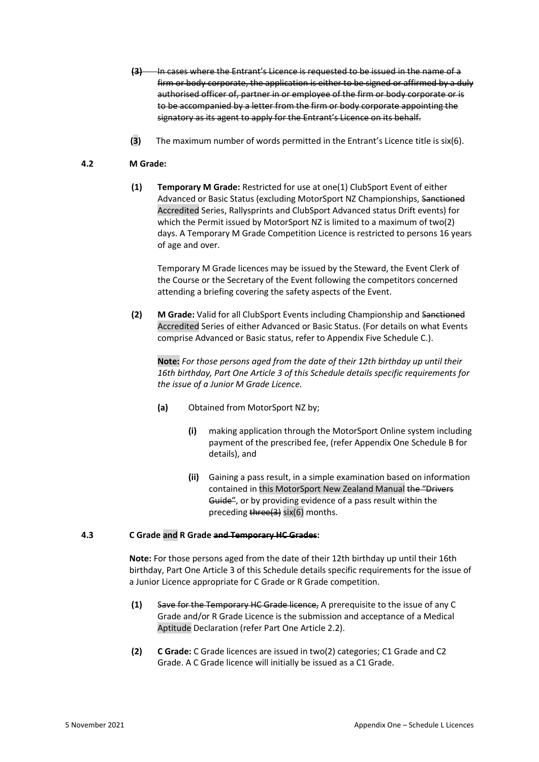- **(3)** In cases where the Entrant's Licence is requested to be issued in the name of a firm or body corporate, the application is either to be signed or affirmed by a duly authorised officer of, partner in or employee of the firm or body corporate or is to be accompanied by a letter from the firm or body corporate appointing the signatory as its agent to apply for the Entrant's Licence on its behalf.
- **(3)** The maximum number of words permitted in the Entrant's Licence title is six(6).

#### **4.2 M Grade:**

**(1) Temporary M Grade:** Restricted for use at one(1) ClubSport Event of either Advanced or Basic Status (excluding MotorSport NZ Championships, Sanctioned Accredited Series, Rallysprints and ClubSport Advanced status Drift events) for which the Permit issued by MotorSport NZ is limited to a maximum of two(2) days. A Temporary M Grade Competition Licence is restricted to persons 16 years of age and over.

Temporary M Grade licences may be issued by the Steward, the Event Clerk of the Course or the Secretary of the Event following the competitors concerned attending a briefing covering the safety aspects of the Event.

**(2) M Grade:** Valid for all ClubSport Events including Championship and Sanctioned Accredited Series of either Advanced or Basic Status. (For details on what Events comprise Advanced or Basic status, refer to Appendix Five Schedule C.).

**Note:** *For those persons aged from the date of their 12th birthday up until their 16th birthday, Part One Article 3 of this Schedule details specific requirements for the issue of a Junior M Grade Licence.*

- **(a)** Obtained from MotorSport NZ by;
	- **(i)** making application through the MotorSport Online system including payment of the prescribed fee, (refer Appendix One Schedule B for details), and
	- **(ii)** Gaining a pass result, in a simple examination based on information contained in this MotorSport New Zealand Manual the "Drivers Guide", or by providing evidence of a pass result within the preceding three(3) six(6) months.

#### **4.3 C Grade and R Grade and Temporary HC Grades:**

**Note:** For those persons aged from the date of their 12th birthday up until their 16th birthday, Part One Article 3 of this Schedule details specific requirements for the issue of a Junior Licence appropriate for C Grade or R Grade competition.

- **(1)** Save for the Temporary HC Grade licence, A prerequisite to the issue of any C Grade and/or R Grade Licence is the submission and acceptance of a Medical Aptitude Declaration (refer Part One Article 2.2).
- **(2) C Grade:** C Grade licences are issued in two(2) categories; C1 Grade and C2 Grade. A C Grade licence will initially be issued as a C1 Grade.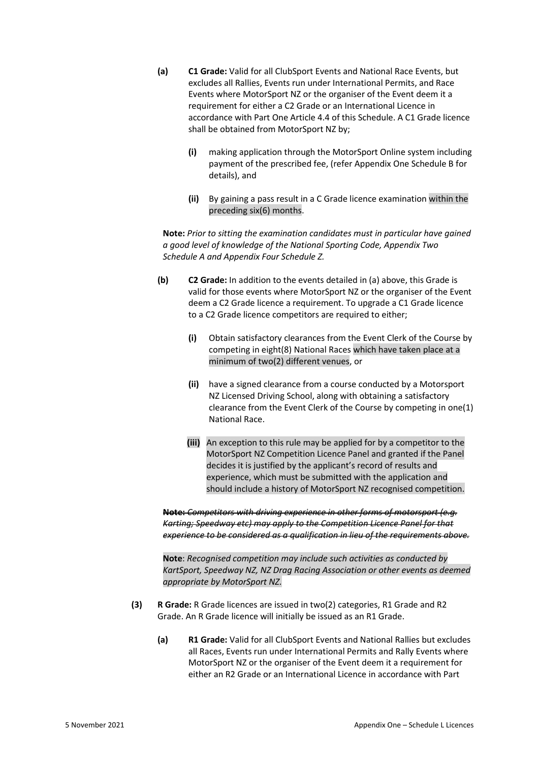- **(a) C1 Grade:** Valid for all ClubSport Events and National Race Events, but excludes all Rallies, Events run under International Permits, and Race Events where MotorSport NZ or the organiser of the Event deem it a requirement for either a C2 Grade or an International Licence in accordance with Part One Article 4.4 of this Schedule. A C1 Grade licence shall be obtained from MotorSport NZ by;
	- **(i)** making application through the MotorSport Online system including payment of the prescribed fee, (refer Appendix One Schedule B for details), and
	- **(ii)** By gaining a pass result in a C Grade licence examination within the preceding six(6) months.

**Note:** *Prior to sitting the examination candidates must in particular have gained a good level of knowledge of the National Sporting Code, Appendix Two Schedule A and Appendix Four Schedule Z.*

- **(b) C2 Grade:** In addition to the events detailed in (a) above, this Grade is valid for those events where MotorSport NZ or the organiser of the Event deem a C2 Grade licence a requirement. To upgrade a C1 Grade licence to a C2 Grade licence competitors are required to either;
	- **(i)** Obtain satisfactory clearances from the Event Clerk of the Course by competing in eight(8) National Races which have taken place at a minimum of two(2) different venues, or
	- **(ii)** have a signed clearance from a course conducted by a Motorsport NZ Licensed Driving School, along with obtaining a satisfactory clearance from the Event Clerk of the Course by competing in one(1) National Race.
	- **(iii)** An exception to this rule may be applied for by a competitor to the MotorSport NZ Competition Licence Panel and granted if the Panel decides it is justified by the applicant's record of results and experience, which must be submitted with the application and should include a history of MotorSport NZ recognised competition.

**Note:** *Competitors with driving experience in other forms of motorsport (e.g. Karting; Speedway etc) may apply to the Competition Licence Panel for that experience to be considered as a qualification in lieu of the requirements above.*

**Note**: *Recognised competition may include such activities as conducted by KartSport, Speedway NZ, NZ Drag Racing Association or other events as deemed appropriate by MotorSport NZ.*

- **(3) R Grade:** R Grade licences are issued in two(2) categories, R1 Grade and R2 Grade. An R Grade licence will initially be issued as an R1 Grade.
	- **(a) R1 Grade:** Valid for all ClubSport Events and National Rallies but excludes all Races, Events run under International Permits and Rally Events where MotorSport NZ or the organiser of the Event deem it a requirement for either an R2 Grade or an International Licence in accordance with Part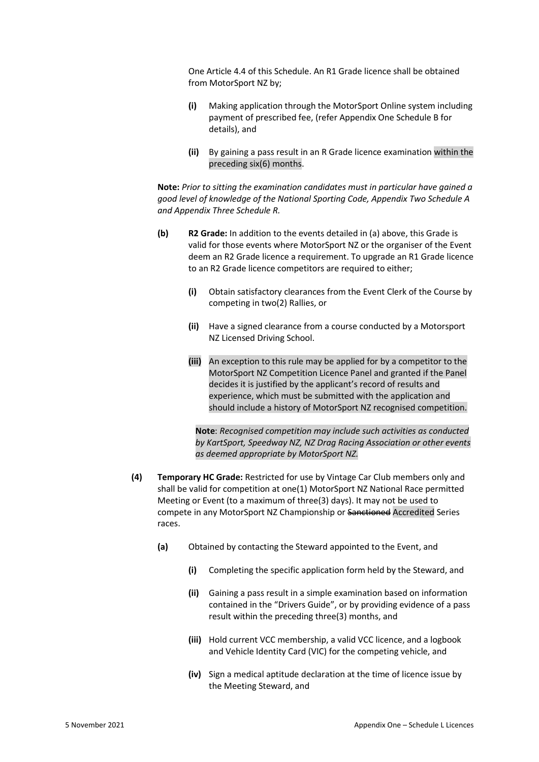One Article 4.4 of this Schedule. An R1 Grade licence shall be obtained from MotorSport NZ by;

- **(i)** Making application through the MotorSport Online system including payment of prescribed fee, (refer Appendix One Schedule B for details), and
- **(ii)** By gaining a pass result in an R Grade licence examination within the preceding six(6) months.

**Note:** *Prior to sitting the examination candidates must in particular have gained a good level of knowledge of the National Sporting Code, Appendix Two Schedule A and Appendix Three Schedule R.*

- **(b) R2 Grade:** In addition to the events detailed in (a) above, this Grade is valid for those events where MotorSport NZ or the organiser of the Event deem an R2 Grade licence a requirement. To upgrade an R1 Grade licence to an R2 Grade licence competitors are required to either;
	- **(i)** Obtain satisfactory clearances from the Event Clerk of the Course by competing in two(2) Rallies, or
	- **(ii)** Have a signed clearance from a course conducted by a Motorsport NZ Licensed Driving School.
	- **(iii)** An exception to this rule may be applied for by a competitor to the MotorSport NZ Competition Licence Panel and granted if the Panel decides it is justified by the applicant's record of results and experience, which must be submitted with the application and should include a history of MotorSport NZ recognised competition.

**Note**: *Recognised competition may include such activities as conducted by KartSport, Speedway NZ, NZ Drag Racing Association or other events as deemed appropriate by MotorSport NZ.*

- **(4) Temporary HC Grade:** Restricted for use by Vintage Car Club members only and shall be valid for competition at one(1) MotorSport NZ National Race permitted Meeting or Event (to a maximum of three(3) days). It may not be used to compete in any MotorSport NZ Championship or Sanctioned Accredited Series races.
	- **(a)** Obtained by contacting the Steward appointed to the Event, and
		- **(i)** Completing the specific application form held by the Steward, and
		- **(ii)** Gaining a pass result in a simple examination based on information contained in the "Drivers Guide", or by providing evidence of a pass result within the preceding three(3) months, and
		- **(iii)** Hold current VCC membership, a valid VCC licence, and a logbook and Vehicle Identity Card (VIC) for the competing vehicle, and
		- **(iv)** Sign a medical aptitude declaration at the time of licence issue by the Meeting Steward, and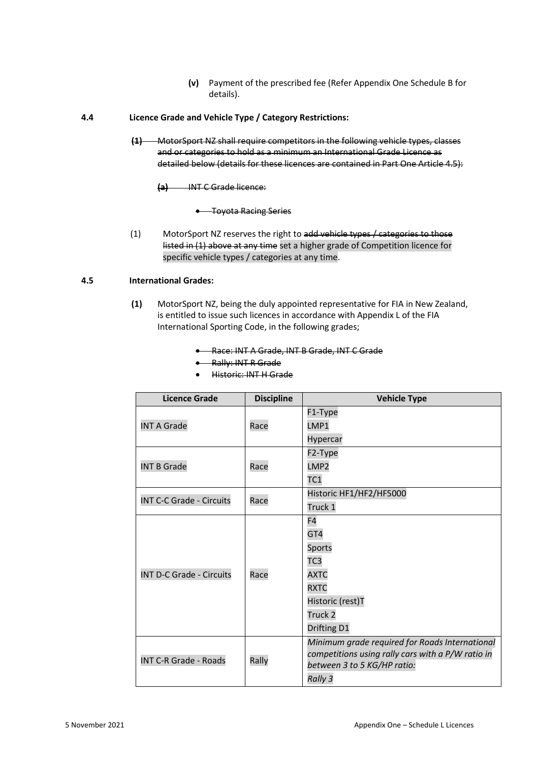- **(v)** Payment of the prescribed fee (Refer Appendix One Schedule B for details).
- **4.4 Licence Grade and Vehicle Type / Category Restrictions:**
	- **(1)** MotorSport NZ shall require competitors in the following vehicle types, classes and or categories to hold as a minimum an International Grade Licence as detailed below (details for these licences are contained in Part One Article 4.5):
		- **(a)** INT C Grade licence:
			- Toyota Racing Series
	- (1) MotorSport NZ reserves the right to add vehicle types / categories to those listed in (1) above at any time set a higher grade of Competition licence for specific vehicle types / categories at any time.

#### **4.5 International Grades:**

- **(1)** MotorSport NZ, being the duly appointed representative for FIA in New Zealand, is entitled to issue such licences in accordance with Appendix L of the FIA International Sporting Code, in the following grades;
	- Race: INT A Grade, INT B Grade, INT C Grade
	- Rally: INT R Grade
	- Historic: INT H Grade

| <b>Licence Grade</b>            | <b>Discipline</b> | <b>Vehicle Type</b>                               |
|---------------------------------|-------------------|---------------------------------------------------|
|                                 |                   | F1-Type                                           |
| <b>INT A Grade</b>              | Race              | LMP1                                              |
|                                 |                   | Hypercar                                          |
|                                 |                   | F2-Type                                           |
| <b>INT B Grade</b>              | Race              | LMP2                                              |
|                                 |                   | TC <sub>1</sub>                                   |
| <b>INT C-C Grade - Circuits</b> | Race              | Historic HF1/HF2/HF5000                           |
|                                 |                   | Truck 1                                           |
|                                 | Race              | F4                                                |
|                                 |                   | GT4                                               |
|                                 |                   | Sports                                            |
|                                 |                   | TC <sub>3</sub>                                   |
| <b>INT D-C Grade - Circuits</b> |                   | <b>AXTC</b>                                       |
|                                 |                   | <b>RXTC</b>                                       |
|                                 |                   | Historic (rest)T                                  |
|                                 |                   | Truck <sub>2</sub>                                |
|                                 |                   | Drifting D1                                       |
|                                 | Rally             | Minimum grade required for Roads International    |
| <b>INT C-R Grade - Roads</b>    |                   | competitions using rally cars with a P/W ratio in |
|                                 |                   | between 3 to 5 KG/HP ratio:                       |
|                                 |                   | Rally 3                                           |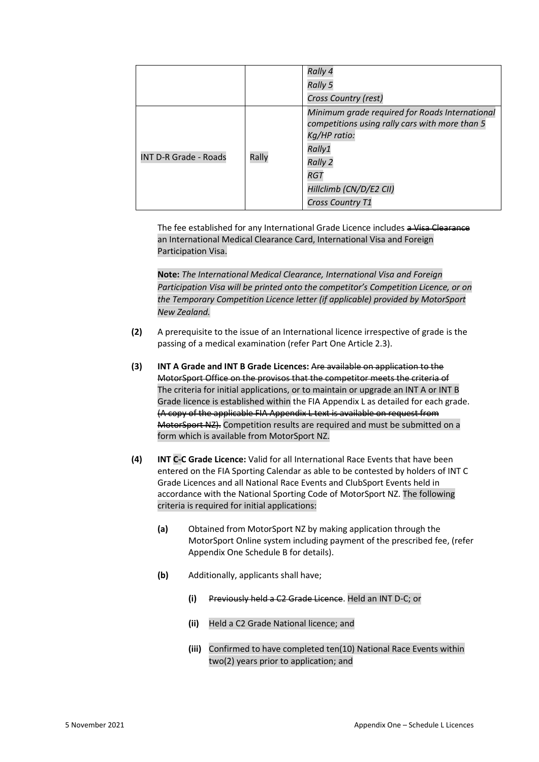|                              |       | Rally 4<br><b>Rally 5</b><br>Cross Country (rest)                                                                                                                                                                |
|------------------------------|-------|------------------------------------------------------------------------------------------------------------------------------------------------------------------------------------------------------------------|
| <b>INT D-R Grade - Roads</b> | Rally | Minimum grade required for Roads International<br>competitions using rally cars with more than 5<br>Kg/HP ratio:<br>Rally1<br><b>Rally 2</b><br><b>RGT</b><br>Hillclimb (CN/D/E2 CII)<br><b>Cross Country T1</b> |

The fee established for any International Grade Licence includes a Visa Clearance an International Medical Clearance Card, International Visa and Foreign Participation Visa.

**Note:** *The International Medical Clearance, International Visa and Foreign Participation Visa will be printed onto the competitor's Competition Licence, or on the Temporary Competition Licence letter (if applicable) provided by MotorSport New Zealand.*

- **(2)** A prerequisite to the issue of an International licence irrespective of grade is the passing of a medical examination (refer Part One Article 2.3).
- **(3) INT A Grade and INT B Grade Licences:** Are available on application to the MotorSport Office on the provisos that the competitor meets the criteria of The criteria for initial applications, or to maintain or upgrade an INT A or INT B Grade licence is established within the FIA Appendix L as detailed for each grade. (A copy of the applicable FIA Appendix L text is available on request from MotorSport NZ). Competition results are required and must be submitted on a form which is available from MotorSport NZ.
- **(4) INT C-C Grade Licence:** Valid for all International Race Events that have been entered on the FIA Sporting Calendar as able to be contested by holders of INT C Grade Licences and all National Race Events and ClubSport Events held in accordance with the National Sporting Code of MotorSport NZ. The following criteria is required for initial applications:
	- **(a)** Obtained from MotorSport NZ by making application through the MotorSport Online system including payment of the prescribed fee, (refer Appendix One Schedule B for details).
	- **(b)** Additionally, applicants shall have;
		- **(i)** Previously held a C2 Grade Licence. Held an INT D-C; or
		- **(ii)** Held a C2 Grade National licence; and
		- **(iii)** Confirmed to have completed ten(10) National Race Events within two(2) years prior to application; and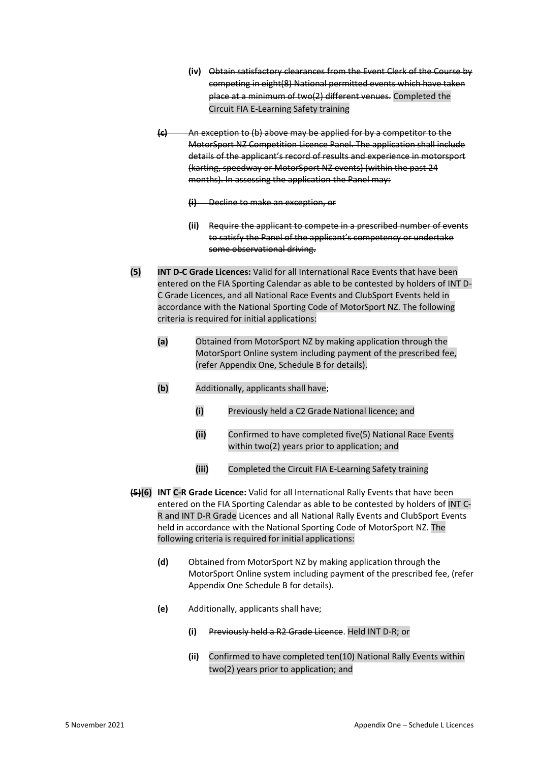- **(iv)** Obtain satisfactory clearances from the Event Clerk of the Course by competing in eight(8) National permitted events which have taken place at a minimum of two(2) different venues. Completed the Circuit FIA E-Learning Safety training
- **(c)** An exception to (b) above may be applied for by a competitor to the MotorSport NZ Competition Licence Panel. The application shall include details of the applicant's record of results and experience in motorsport (karting, speedway or MotorSport NZ events) (within the past 24 months). In assessing the application the Panel may:

**(i)** Decline to make an exception, or

- **(ii)** Require the applicant to compete in a prescribed number of events to satisfy the Panel of the applicant's competency or undertake some observational driving.
- **(5) INT D-C Grade Licences:** Valid for all International Race Events that have been entered on the FIA Sporting Calendar as able to be contested by holders of INT D-C Grade Licences, and all National Race Events and ClubSport Events held in accordance with the National Sporting Code of MotorSport NZ. The following criteria is required for initial applications:
	- **(a)** Obtained from MotorSport NZ by making application through the MotorSport Online system including payment of the prescribed fee, (refer Appendix One, Schedule B for details).
	- **(b)** Additionally, applicants shall have;
		- **(i)** Previously held a C2 Grade National licence; and
		- **(ii)** Confirmed to have completed five(5) National Race Events within two(2) years prior to application; and
		- **(iii)** Completed the Circuit FIA E-Learning Safety training
- **(5)(6) INT C-R Grade Licence:** Valid for all International Rally Events that have been entered on the FIA Sporting Calendar as able to be contested by holders of INT C-R and INT D-R Grade Licences and all National Rally Events and ClubSport Events held in accordance with the National Sporting Code of MotorSport NZ. The following criteria is required for initial applications:
	- **(d)** Obtained from MotorSport NZ by making application through the MotorSport Online system including payment of the prescribed fee, (refer Appendix One Schedule B for details).
	- **(e)** Additionally, applicants shall have;
		- **(i)** Previously held a R2 Grade Licence. Held INT D-R; or
		- **(ii)** Confirmed to have completed ten(10) National Rally Events within two(2) years prior to application; and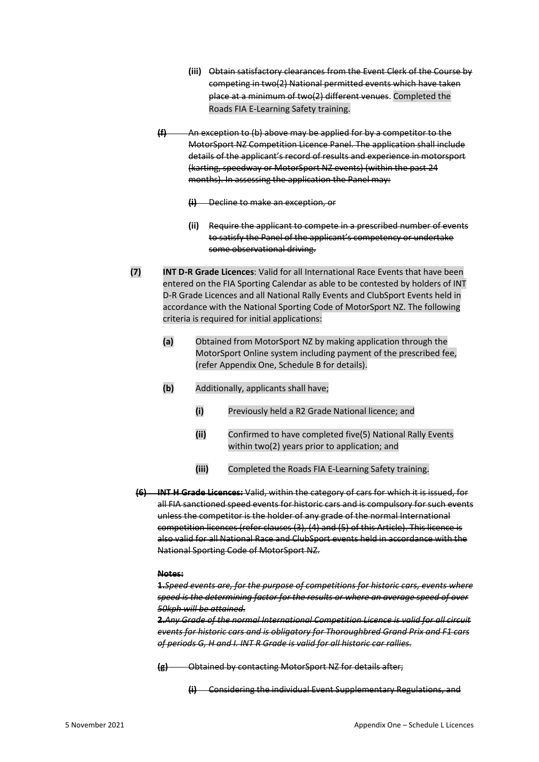- **(iii)** Obtain satisfactory clearances from the Event Clerk of the Course by competing in two(2) National permitted events which have taken place at a minimum of two(2) different venues. Completed the Roads FIA E-Learning Safety training.
- **(f)** An exception to (b) above may be applied for by a competitor to the MotorSport NZ Competition Licence Panel. The application shall include details of the applicant's record of results and experience in motorsport (karting, speedway or MotorSport NZ events) (within the past 24 months). In assessing the application the Panel may:

**(i)** Decline to make an exception, or

- **(ii)** Require the applicant to compete in a prescribed number of events to satisfy the Panel of the applicant's competency or undertake some observational driving.
- **(7) INT D-R Grade Licences**: Valid for all International Race Events that have been entered on the FIA Sporting Calendar as able to be contested by holders of INT D-R Grade Licences and all National Rally Events and ClubSport Events held in accordance with the National Sporting Code of MotorSport NZ. The following criteria is required for initial applications:
	- **(a)** Obtained from MotorSport NZ by making application through the MotorSport Online system including payment of the prescribed fee, (refer Appendix One, Schedule B for details).
	- **(b)** Additionally, applicants shall have;
		- **(i)** Previously held a R2 Grade National licence; and
		- **(ii)** Confirmed to have completed five(5) National Rally Events within two(2) years prior to application; and
		- **(iii)** Completed the Roads FIA E-Learning Safety training.
	- **(6) INT H Grade Licences:** Valid, within the category of cars for which it is issued, for all FIA sanctioned speed events for historic cars and is compulsory for such events unless the competitor is the holder of any grade of the normal International competition licences (refer clauses (3), (4) and (5) of this Article). This licence is also valid for all National Race and ClubSport events held in accordance with the National Sporting Code of MotorSport NZ.

#### **Notes:**

**1.***Speed events are, for the purpose of competitions for historic cars, events where speed is the determining factor for the results or where an average speed of over 50kph will be attained.*

**2.***Any Grade of the normal International Competition Licence is valid for all circuit events for historic cars and is obligatory for Thoroughbred Grand Prix and F1 cars of periods G, H and I. INT R Grade is valid for all historic car rallies.*

**(g)** Obtained by contacting MotorSport NZ for details after;

**(i)** Considering the individual Event Supplementary Regulations, and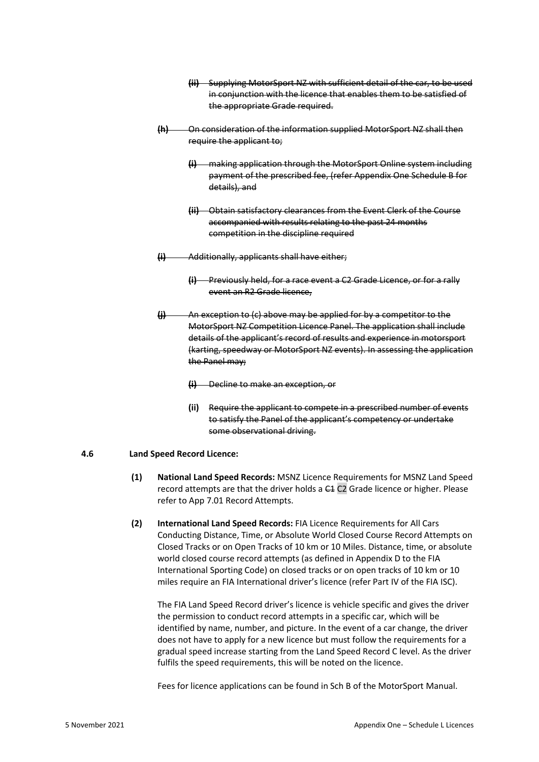- **(ii)** Supplying MotorSport NZ with sufficient detail of the car, to be used in conjunction with the licence that enables them to be satisfied of the appropriate Grade required.
- **(h)** On consideration of the information supplied MotorSport NZ shall then require the applicant to;
	- **(i)** making application through the MotorSport Online system including payment of the prescribed fee, (refer Appendix One Schedule B for details), and
	- **(ii)** Obtain satisfactory clearances from the Event Clerk of the Course accompanied with results relating to the past 24 months competition in the discipline required
- **(i)** Additionally, applicants shall have either;
	- **(i)** Previously held, for a race event a C2 Grade Licence, or for a rally event an R2 Grade licence,
- **(j)** An exception to (c) above may be applied for by a competitor to the MotorSport NZ Competition Licence Panel. The application shall include details of the applicant's record of results and experience in motorsport (karting, speedway or MotorSport NZ events). In assessing the application the Panel may;
	- **(i)** Decline to make an exception, or
	- **(ii)** Require the applicant to compete in a prescribed number of events to satisfy the Panel of the applicant's competency or undertake some observational driving.

#### **4.6 Land Speed Record Licence:**

- **(1) National Land Speed Records:** MSNZ Licence Requirements for MSNZ Land Speed record attempts are that the driver holds a C<sub>1</sub> C<sub>2</sub> Grade licence or higher. Please refer to App 7.01 Record Attempts.
- **(2) International Land Speed Records:** FIA Licence Requirements for All Cars Conducting Distance, Time, or Absolute World Closed Course Record Attempts on Closed Tracks or on Open Tracks of 10 km or 10 Miles. Distance, time, or absolute world closed course record attempts (as defined in Appendix D to the FIA International Sporting Code) on closed tracks or on open tracks of 10 km or 10 miles require an FIA International driver's licence (refer Part IV of the FIA ISC).

The FIA Land Speed Record driver's licence is vehicle specific and gives the driver the permission to conduct record attempts in a specific car, which will be identified by name, number, and picture. In the event of a car change, the driver does not have to apply for a new licence but must follow the requirements for a gradual speed increase starting from the Land Speed Record C level. As the driver fulfils the speed requirements, this will be noted on the licence.

Fees for licence applications can be found in Sch B of the MotorSport Manual.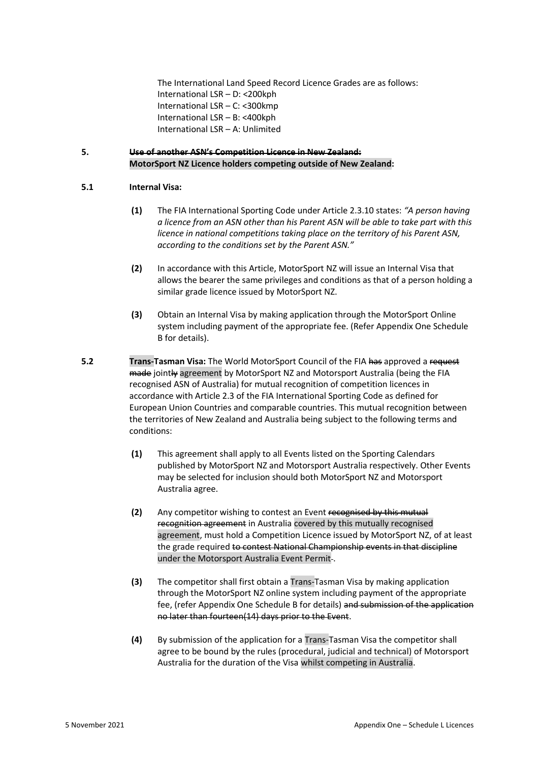The International Land Speed Record Licence Grades are as follows: International LSR – D: <200kph International LSR – C: <300kmp International LSR – B: <400kph International LSR – A: Unlimited

#### **5. Use of another ASN's Competition Licence in New Zealand: MotorSport NZ Licence holders competing outside of New Zealand:**

#### **5.1 Internal Visa:**

- **(1)** The FIA International Sporting Code under Article 2.3.10 states: *"A person having a licence from an ASN other than his Parent ASN will be able to take part with this licence in national competitions taking place on the territory of his Parent ASN, according to the conditions set by the Parent ASN."*
- **(2)** In accordance with this Article, MotorSport NZ will issue an Internal Visa that allows the bearer the same privileges and conditions as that of a person holding a similar grade licence issued by MotorSport NZ.
- **(3)** Obtain an Internal Visa by making application through the MotorSport Online system including payment of the appropriate fee. (Refer Appendix One Schedule B for details).
- **5.2 Trans-Tasman Visa:** The World MotorSport Council of the FIA has approved a request made jointly agreement by MotorSport NZ and Motorsport Australia (being the FIA recognised ASN of Australia) for mutual recognition of competition licences in accordance with Article 2.3 of the FIA International Sporting Code as defined for European Union Countries and comparable countries. This mutual recognition between the territories of New Zealand and Australia being subject to the following terms and conditions:
	- **(1)** This agreement shall apply to all Events listed on the Sporting Calendars published by MotorSport NZ and Motorsport Australia respectively. Other Events may be selected for inclusion should both MotorSport NZ and Motorsport Australia agree.
	- **(2)** Any competitor wishing to contest an Event recognised by this mutual recognition agreement in Australia covered by this mutually recognised agreement, must hold a Competition Licence issued by MotorSport NZ, of at least the grade required to contest National Championship events in that discipline under the Motorsport Australia Event Permit-.
	- **(3)** The competitor shall first obtain a Trans-Tasman Visa by making application through the MotorSport NZ online system including payment of the appropriate fee, (refer Appendix One Schedule B for details) and submission of the application no later than fourteen(14) days prior to the Event.
	- **(4)** By submission of the application for a Trans-Tasman Visa the competitor shall agree to be bound by the rules (procedural, judicial and technical) of Motorsport Australia for the duration of the Visa whilst competing in Australia.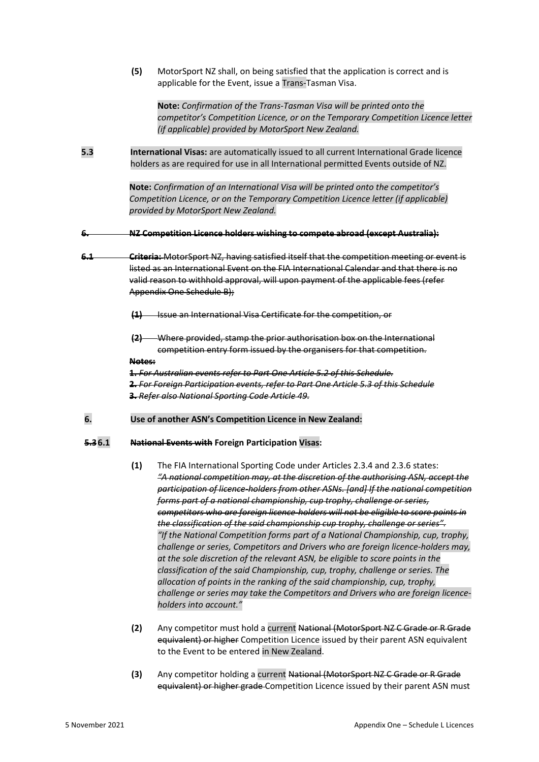**(5)** MotorSport NZ shall, on being satisfied that the application is correct and is applicable for the Event, issue a Trans-Tasman Visa.

**Note:** *Confirmation of the Trans-Tasman Visa will be printed onto the competitor's Competition Licence, or on the Temporary Competition Licence letter (if applicable) provided by MotorSport New Zealand.*

**5.3 International Visas:** are automatically issued to all current International Grade licence holders as are required for use in all International permitted Events outside of NZ.

> **Note:** *Confirmation of an International Visa will be printed onto the competitor's Competition Licence, or on the Temporary Competition Licence letter (if applicable) provided by MotorSport New Zealand.*

**6. NZ Competition Licence holders wishing to compete abroad (except Australia):**

**6.1 Criteria:** MotorSport NZ, having satisfied itself that the competition meeting or event is listed as an International Event on the FIA International Calendar and that there is no valid reason to withhold approval, will upon payment of the applicable fees (refer Appendix One Schedule B);

**(1)** Issue an International Visa Certificate for the competition, or

**(2)** Where provided, stamp the prior authorisation box on the International competition entry form issued by the organisers for that competition.

**Notes:**

**1.** *For Australian events refer to Part One Article 5.2 of this Schedule.* **2.** *For Foreign Participation events, refer to Part One Article 5.3 of this Schedule* **3.** *Refer also National Sporting Code Article 49.*

**6. Use of another ASN's Competition Licence in New Zealand:**

#### **5.36.1 National Events with Foreign Participation Visas:**

- **(1)** The FIA International Sporting Code under Articles 2.3.4 and 2.3.6 states: *"A national competition may, at the discretion of the authorising ASN, accept the participation of licence-holders from other ASNs. [and] If the national competition forms part of a national championship, cup trophy, challenge or series, competitors who are foreign licence-holders will not be eligible to score points in the classification of the said championship cup trophy, challenge or series". "If the National Competition forms part of a National Championship, cup, trophy, challenge or series, Competitors and Drivers who are foreign licence‐holders may, at the sole discretion of the relevant ASN, be eligible to score points in the classification of the said Championship, cup, trophy, challenge or series. The allocation of points in the ranking of the said championship, cup, trophy, challenge or series may take the Competitors and Drivers who are foreign licence‐ holders into account."*
- **(2)** Any competitor must hold a current National (MotorSport NZ C Grade or R Grade equivalent) or higher Competition Licence issued by their parent ASN equivalent to the Event to be entered in New Zealand.
- **(3)** Any competitor holding a current National (MotorSport NZ C Grade or R Grade equivalent) or higher grade Competition Licence issued by their parent ASN must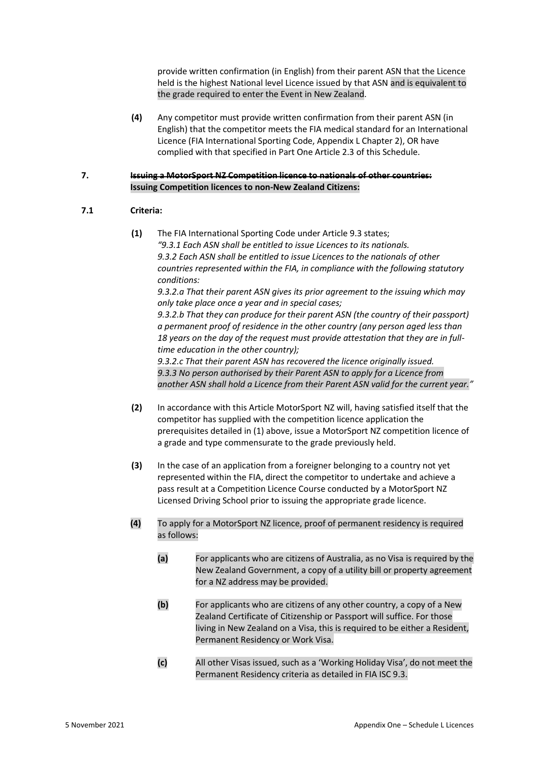provide written confirmation (in English) from their parent ASN that the Licence held is the highest National level Licence issued by that ASN and is equivalent to the grade required to enter the Event in New Zealand.

**(4)** Any competitor must provide written confirmation from their parent ASN (in English) that the competitor meets the FIA medical standard for an International Licence (FIA International Sporting Code, Appendix L Chapter 2), OR have complied with that specified in Part One Article 2.3 of this Schedule.

#### **7. Issuing a MotorSport NZ Competition licence to nationals of other countries: Issuing Competition licences to non-New Zealand Citizens:**

#### **7.1 Criteria:**

**(1)** The FIA International Sporting Code under Article 9.3 states; *"9.3.1 Each ASN shall be entitled to issue Licences to its nationals. 9.3.2 Each ASN shall be entitled to issue Licences to the nationals of other countries represented within the FIA, in compliance with the following statutory conditions: 9.3.2.a That their parent ASN gives its prior agreement to the issuing which may only take place once a year and in special cases; 9.3.2.b That they can produce for their parent ASN (the country of their passport)* 

*a permanent proof of residence in the other country (any person aged less than 18 years on the day of the request must provide attestation that they are in fulltime education in the other country);*

*9.3.2.c That their parent ASN has recovered the licence originally issued. 9.3.3 No person authorised by their Parent ASN to apply for a Licence from another ASN shall hold a Licence from their Parent ASN valid for the current year."*

- **(2)** In accordance with this Article MotorSport NZ will, having satisfied itself that the competitor has supplied with the competition licence application the prerequisites detailed in (1) above, issue a MotorSport NZ competition licence of a grade and type commensurate to the grade previously held.
- **(3)** In the case of an application from a foreigner belonging to a country not yet represented within the FIA, direct the competitor to undertake and achieve a pass result at a Competition Licence Course conducted by a MotorSport NZ Licensed Driving School prior to issuing the appropriate grade licence.
- **(4)** To apply for a MotorSport NZ licence, proof of permanent residency is required as follows:
	- **(a)** For applicants who are citizens of Australia, as no Visa is required by the New Zealand Government, a copy of a utility bill or property agreement for a NZ address may be provided.
	- **(b)** For applicants who are citizens of any other country, a copy of a New Zealand Certificate of Citizenship or Passport will suffice. For those living in New Zealand on a Visa, this is required to be either a Resident, Permanent Residency or Work Visa.
	- **(c)** All other Visas issued, such as a 'Working Holiday Visa', do not meet the Permanent Residency criteria as detailed in FIA ISC 9.3.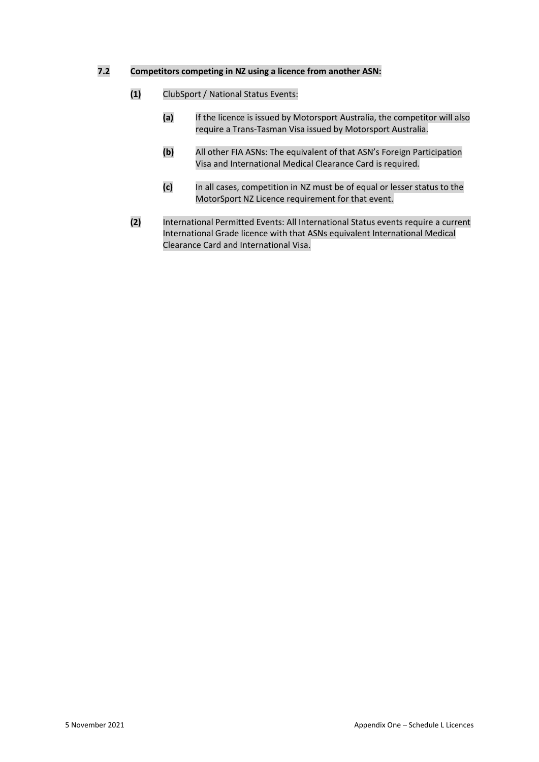#### **7.2 Competitors competing in NZ using a licence from another ASN:**

- **(1)** ClubSport / National Status Events:
	- **(a)** If the licence is issued by Motorsport Australia, the competitor will also require a Trans-Tasman Visa issued by Motorsport Australia.
	- **(b)** All other FIA ASNs: The equivalent of that ASN's Foreign Participation Visa and International Medical Clearance Card is required.
	- **(c)** In all cases, competition in NZ must be of equal or lesser status to the MotorSport NZ Licence requirement for that event.
- **(2)** International Permitted Events: All International Status events require a current International Grade licence with that ASNs equivalent International Medical Clearance Card and International Visa.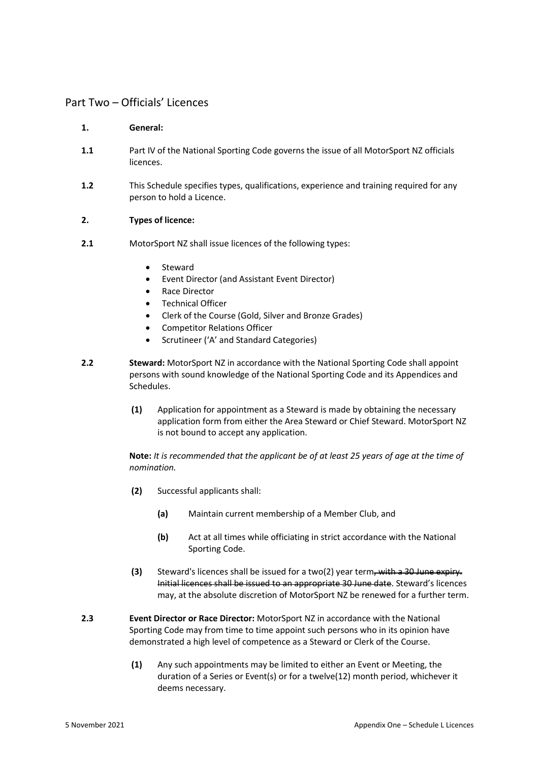### Part Two – Officials' Licences

#### **1. General:**

- **1.1** Part IV of the National Sporting Code governs the issue of all MotorSport NZ officials licences.
- **1.2** This Schedule specifies types, qualifications, experience and training required for any person to hold a Licence.

#### **2. Types of licence:**

- **2.1** MotorSport NZ shall issue licences of the following types:
	- **Steward**
	- Event Director (and Assistant Event Director)
	- Race Director
	- Technical Officer
	- Clerk of the Course (Gold, Silver and Bronze Grades)
	- Competitor Relations Officer
	- Scrutineer ('A' and Standard Categories)
- **2.2 Steward:** MotorSport NZ in accordance with the National Sporting Code shall appoint persons with sound knowledge of the National Sporting Code and its Appendices and Schedules.
	- **(1)** Application for appointment as a Steward is made by obtaining the necessary application form from either the Area Steward or Chief Steward. MotorSport NZ is not bound to accept any application.

**Note:** *It is recommended that the applicant be of at least 25 years of age at the time of nomination.*

- **(2)** Successful applicants shall:
	- **(a)** Maintain current membership of a Member Club, and
	- **(b)** Act at all times while officiating in strict accordance with the National Sporting Code.
- **(3)** Steward's licences shall be issued for a two(2) year term, with a 30 June expiry. Initial licences shall be issued to an appropriate 30 June date. Steward's licences may, at the absolute discretion of MotorSport NZ be renewed for a further term.
- **2.3 Event Director or Race Director:** MotorSport NZ in accordance with the National Sporting Code may from time to time appoint such persons who in its opinion have demonstrated a high level of competence as a Steward or Clerk of the Course.
	- **(1)** Any such appointments may be limited to either an Event or Meeting, the duration of a Series or Event(s) or for a twelve(12) month period, whichever it deems necessary.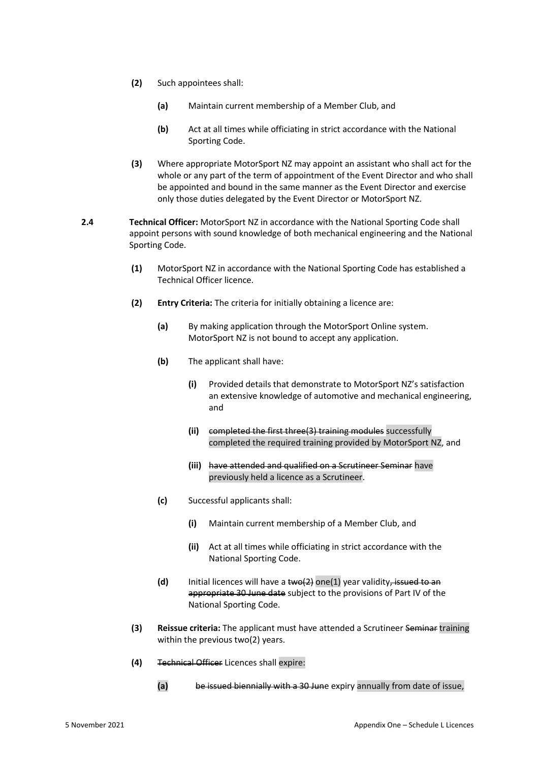- **(2)** Such appointees shall:
	- **(a)** Maintain current membership of a Member Club, and
	- **(b)** Act at all times while officiating in strict accordance with the National Sporting Code.
- **(3)** Where appropriate MotorSport NZ may appoint an assistant who shall act for the whole or any part of the term of appointment of the Event Director and who shall be appointed and bound in the same manner as the Event Director and exercise only those duties delegated by the Event Director or MotorSport NZ.
- **2.4 Technical Officer:** MotorSport NZ in accordance with the National Sporting Code shall appoint persons with sound knowledge of both mechanical engineering and the National Sporting Code.
	- **(1)** MotorSport NZ in accordance with the National Sporting Code has established a Technical Officer licence.
	- **(2) Entry Criteria:** The criteria for initially obtaining a licence are:
		- **(a)** By making application through the MotorSport Online system. MotorSport NZ is not bound to accept any application.
		- **(b)** The applicant shall have:
			- **(i)** Provided details that demonstrate to MotorSport NZ's satisfaction an extensive knowledge of automotive and mechanical engineering, and
			- **(ii)** completed the first three(3) training modules successfully completed the required training provided by MotorSport NZ, and
			- **(iii)** have attended and qualified on a Scrutineer Seminar have previously held a licence as a Scrutineer.
		- **(c)** Successful applicants shall:
			- **(i)** Maintain current membership of a Member Club, and
			- **(ii)** Act at all times while officiating in strict accordance with the National Sporting Code.
		- **(d)** Initial licences will have a two(2) one(1) year validity, issued to an appropriate 30 June date subject to the provisions of Part IV of the National Sporting Code.
	- **(3) Reissue criteria:** The applicant must have attended a Scrutineer Seminar training within the previous two(2) years.
	- **(4)** Technical Officer Licences shall expire:
		- **(a)** be issued biennially with a 30 June expiry annually from date of issue,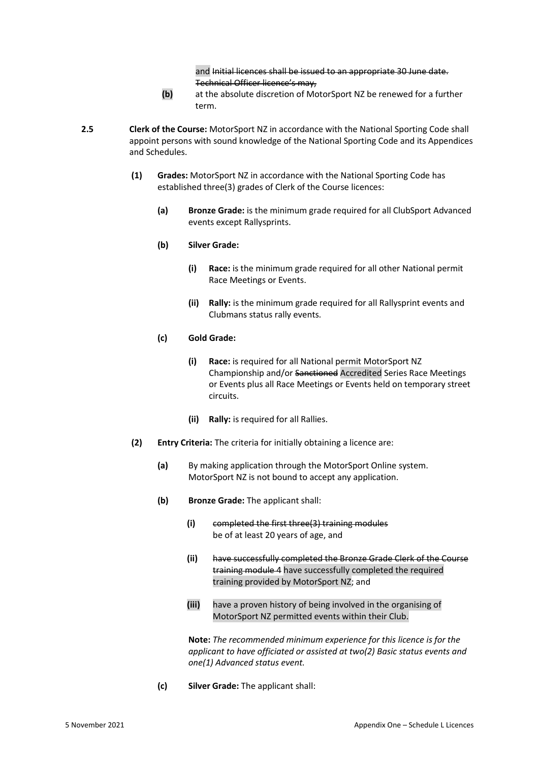and Initial licences shall be issued to an appropriate 30 June date. Technical Officer licence's may,

- **(b)** at the absolute discretion of MotorSport NZ be renewed for a further term.
- **2.5 Clerk of the Course:** MotorSport NZ in accordance with the National Sporting Code shall appoint persons with sound knowledge of the National Sporting Code and its Appendices and Schedules.
	- **(1) Grades:** MotorSport NZ in accordance with the National Sporting Code has established three(3) grades of Clerk of the Course licences:
		- **(a) Bronze Grade:** is the minimum grade required for all ClubSport Advanced events except Rallysprints.

#### **(b) Silver Grade:**

- **(i) Race:** is the minimum grade required for all other National permit Race Meetings or Events.
- **(ii) Rally:** is the minimum grade required for all Rallysprint events and Clubmans status rally events.

#### **(c) Gold Grade:**

- **(i) Race:** is required for all National permit MotorSport NZ Championship and/or Sanctioned Accredited Series Race Meetings or Events plus all Race Meetings or Events held on temporary street circuits.
- **(ii) Rally:** is required for all Rallies.
- **(2) Entry Criteria:** The criteria for initially obtaining a licence are:
	- **(a)** By making application through the MotorSport Online system. MotorSport NZ is not bound to accept any application.
	- **(b) Bronze Grade:** The applicant shall:
		- **(i)** completed the first three(3) training modules be of at least 20 years of age, and
		- **(ii)** have successfully completed the Bronze Grade Clerk of the Course training module 4 have successfully completed the required training provided by MotorSport NZ; and
		- **(iii)** have a proven history of being involved in the organising of MotorSport NZ permitted events within their Club.

**Note:** *The recommended minimum experience for this licence is for the applicant to have officiated or assisted at two(2) Basic status events and one(1) Advanced status event.*

**(c) Silver Grade:** The applicant shall: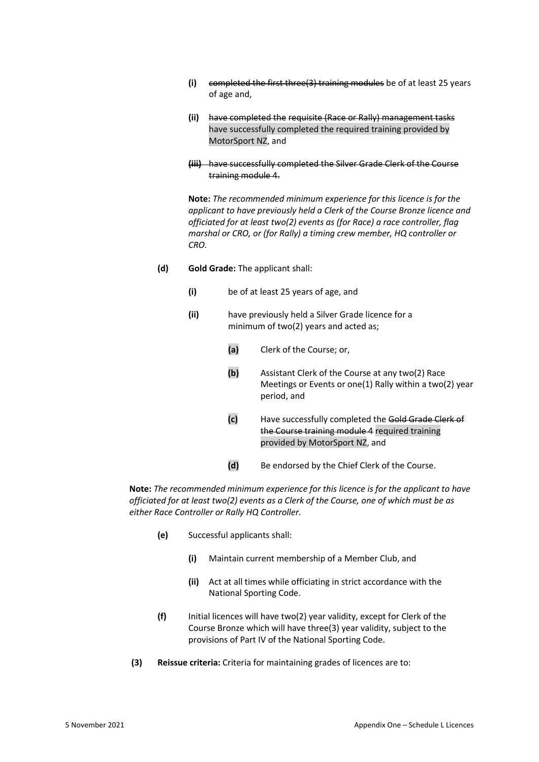- **(i)** completed the first three(3) training modules be of at least 25 years of age and,
- **(ii)** have completed the requisite (Race or Rally) management tasks have successfully completed the required training provided by MotorSport NZ, and
- **(iii)** have successfully completed the Silver Grade Clerk of the Course training module 4.

**Note:** *The recommended minimum experience for this licence is for the applicant to have previously held a Clerk of the Course Bronze licence and officiated for at least two(2) events as (for Race) a race controller, flag marshal or CRO, or (for Rally) a timing crew member, HQ controller or CRO.*

- **(d) Gold Grade:** The applicant shall:
	- **(i)** be of at least 25 years of age, and
	- **(ii)** have previously held a Silver Grade licence for a minimum of two(2) years and acted as;
		- **(a)** Clerk of the Course; or,
		- **(b)** Assistant Clerk of the Course at any two(2) Race Meetings or Events or one(1) Rally within a two(2) year period, and
		- **(c)** Have successfully completed the Gold Grade Clerk of the Course training module 4 required training provided by MotorSport NZ, and
		- **(d)** Be endorsed by the Chief Clerk of the Course.

**Note:** *The recommended minimum experience for this licence is for the applicant to have officiated for at least two(2) events as a Clerk of the Course, one of which must be as either Race Controller or Rally HQ Controller.*

- **(e)** Successful applicants shall:
	- **(i)** Maintain current membership of a Member Club, and
	- **(ii)** Act at all times while officiating in strict accordance with the National Sporting Code.
- **(f)** Initial licences will have two(2) year validity, except for Clerk of the Course Bronze which will have three(3) year validity, subject to the provisions of Part IV of the National Sporting Code.
- **(3) Reissue criteria:** Criteria for maintaining grades of licences are to: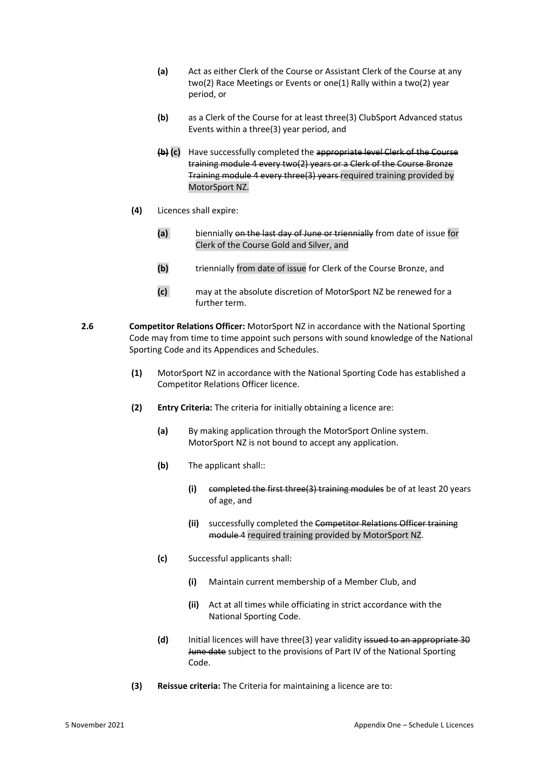- **(a)** Act as either Clerk of the Course or Assistant Clerk of the Course at any two(2) Race Meetings or Events or one(1) Rally within a two(2) year period, or
- **(b)** as a Clerk of the Course for at least three(3) ClubSport Advanced status Events within a three(3) year period, and
- **(b) (c)** Have successfully completed the appropriate level Clerk of the Course training module 4 every two(2) years or a Clerk of the Course Bronze Training module 4 every three(3) years required training provided by MotorSport NZ.
- **(4)** Licences shall expire:
	- **(a)** biennially on the last day of June or triennially from date of issue for Clerk of the Course Gold and Silver, and
	- **(b)** triennially from date of issue for Clerk of the Course Bronze, and
	- **(c)** may at the absolute discretion of MotorSport NZ be renewed for a further term.
- **2.6 Competitor Relations Officer:** MotorSport NZ in accordance with the National Sporting Code may from time to time appoint such persons with sound knowledge of the National Sporting Code and its Appendices and Schedules.
	- **(1)** MotorSport NZ in accordance with the National Sporting Code has established a Competitor Relations Officer licence.
	- **(2) Entry Criteria:** The criteria for initially obtaining a licence are:
		- **(a)** By making application through the MotorSport Online system. MotorSport NZ is not bound to accept any application.
		- **(b)** The applicant shall::
			- **(i)** completed the first three(3) training modules be of at least 20 years of age, and
			- **(ii)** successfully completed the Competitor Relations Officer training module 4 required training provided by MotorSport NZ.
		- **(c)** Successful applicants shall:
			- **(i)** Maintain current membership of a Member Club, and
			- **(ii)** Act at all times while officiating in strict accordance with the National Sporting Code.
		- **(d)** Initial licences will have three(3) year validity issued to an appropriate 30 June date subject to the provisions of Part IV of the National Sporting Code.
	- **(3) Reissue criteria:** The Criteria for maintaining a licence are to: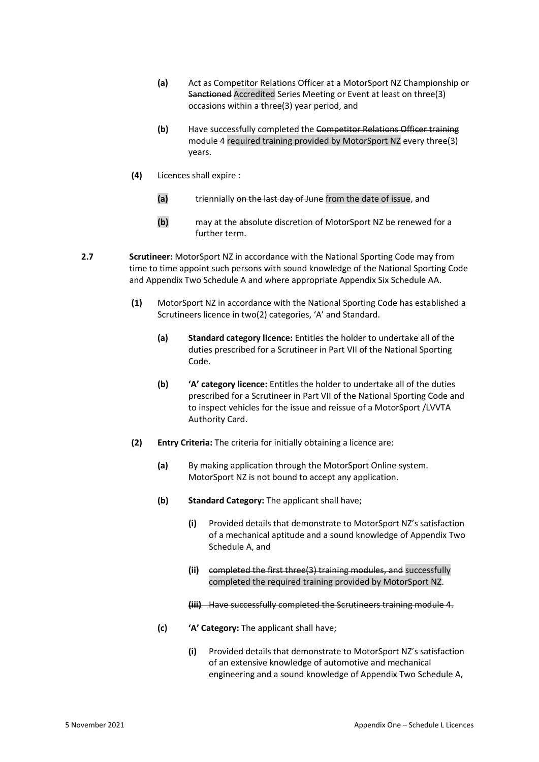- **(a)** Act as Competitor Relations Officer at a MotorSport NZ Championship or Sanctioned Accredited Series Meeting or Event at least on three(3) occasions within a three(3) year period, and
- **(b)** Have successfully completed the Competitor Relations Officer training module 4 required training provided by MotorSport NZ every three(3) years.
- **(4)** Licences shall expire :
	- **(a)** triennially on the last day of June from the date of issue, and
	- **(b)** may at the absolute discretion of MotorSport NZ be renewed for a further term.
- **2.7 Scrutineer:** MotorSport NZ in accordance with the National Sporting Code may from time to time appoint such persons with sound knowledge of the National Sporting Code and Appendix Two Schedule A and where appropriate Appendix Six Schedule AA.
	- **(1)** MotorSport NZ in accordance with the National Sporting Code has established a Scrutineers licence in two(2) categories, 'A' and Standard.
		- **(a) Standard category licence:** Entitles the holder to undertake all of the duties prescribed for a Scrutineer in Part VII of the National Sporting Code.
		- **(b) 'A' category licence:** Entitles the holder to undertake all of the duties prescribed for a Scrutineer in Part VII of the National Sporting Code and to inspect vehicles for the issue and reissue of a MotorSport /LVVTA Authority Card.
	- **(2) Entry Criteria:** The criteria for initially obtaining a licence are:
		- **(a)** By making application through the MotorSport Online system. MotorSport NZ is not bound to accept any application.
		- **(b) Standard Category:** The applicant shall have;
			- **(i)** Provided details that demonstrate to MotorSport NZ's satisfaction of a mechanical aptitude and a sound knowledge of Appendix Two Schedule A, and
			- **(ii)** completed the first three(3) training modules, and successfully completed the required training provided by MotorSport NZ.

**(iii)** Have successfully completed the Scrutineers training module 4.

- **(c) 'A' Category:** The applicant shall have;
	- **(i)** Provided details that demonstrate to MotorSport NZ's satisfaction of an extensive knowledge of automotive and mechanical engineering and a sound knowledge of Appendix Two Schedule A,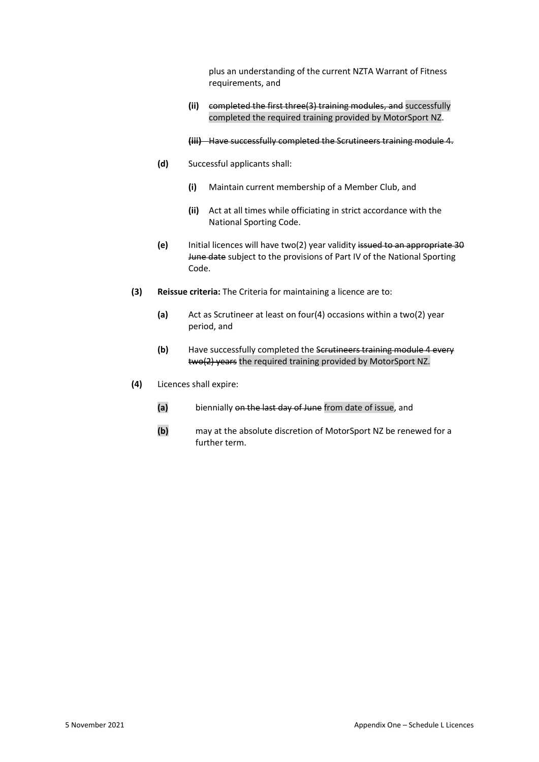plus an understanding of the current NZTA Warrant of Fitness requirements, and

**(ii)** completed the first three(3) training modules, and successfully completed the required training provided by MotorSport NZ.

**(iii)** Have successfully completed the Scrutineers training module 4.

- **(d)** Successful applicants shall:
	- **(i)** Maintain current membership of a Member Club, and
	- **(ii)** Act at all times while officiating in strict accordance with the National Sporting Code.
- **(e)** Initial licences will have two(2) year validity issued to an appropriate 30 June date subject to the provisions of Part IV of the National Sporting Code.
- **(3) Reissue criteria:** The Criteria for maintaining a licence are to:
	- **(a)** Act as Scrutineer at least on four(4) occasions within a two(2) year period, and
	- **(b)** Have successfully completed the Scrutineers training module 4 every two(2) years the required training provided by MotorSport NZ.
- **(4)** Licences shall expire:
	- **(a)** biennially on the last day of June from date of issue, and
	- **(b)** may at the absolute discretion of MotorSport NZ be renewed for a further term.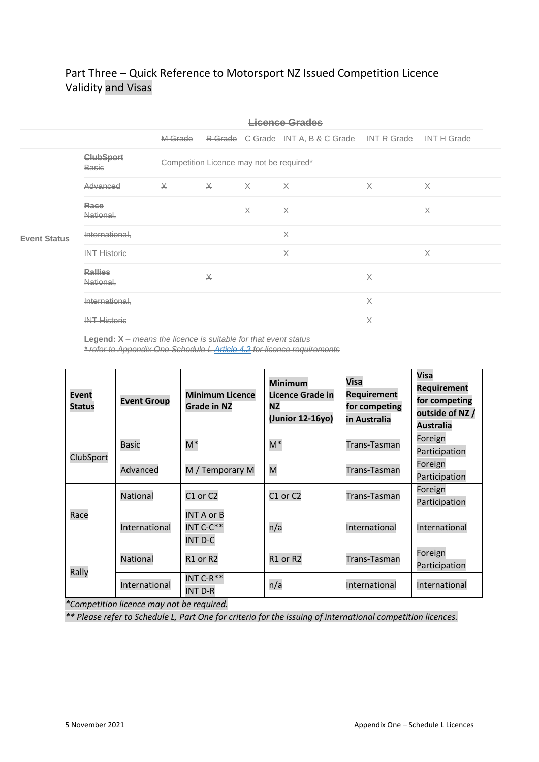# Part Three – Quick Reference to Motorsport NZ Issued Competition Licence Validity and Visas

|                         | Licence Grades              |                                          |                               |   |                                                            |          |          |  |
|-------------------------|-----------------------------|------------------------------------------|-------------------------------|---|------------------------------------------------------------|----------|----------|--|
|                         |                             | M-Grade                                  |                               |   | R-Grade C Grade INT A, B & C Grade INT R Grade INT H Grade |          |          |  |
|                         | <b>ClubSport</b><br>Basic   | Competition Licence may not be required* |                               |   |                                                            |          |          |  |
|                         | Advanced                    | $\times$                                 | $\overline{X}$ $\overline{X}$ |   | $\times$                                                   | $\times$ | $\times$ |  |
|                         | Race<br>National,           |                                          |                               | X | X                                                          |          | X        |  |
| <del>Event Status</del> | International,              |                                          |                               |   | $\times$                                                   |          |          |  |
|                         | <b>INT Historic</b>         |                                          |                               |   | X                                                          |          | X        |  |
|                         | <b>Rallies</b><br>National, |                                          | $\times$                      |   |                                                            | Χ        |          |  |
|                         | International,              |                                          |                               |   |                                                            | $\times$ |          |  |
|                         | <b>INT Historic</b>         |                                          |                               |   |                                                            | Χ        |          |  |

**Legend: X** – *means the licence is suitable for that event status*

*\* refer to Appendix One Schedule L [Article 4.2](https://manual.motorsport.org.nz/index.php/knowledgebase/36-1-6-schedule-l/#l1-4.2) for licence requirements*

| <b>Event</b><br><b>Status</b> | <b>Event Group</b> | <b>Minimum Licence</b><br><b>Grade in NZ</b> | <b>Minimum</b><br>Licence Grade in<br>ΝZ<br>(Junior 12-16yo) | <b>Visa</b><br><b>Requirement</b><br>for competing<br>in Australia | <b>Visa</b><br><b>Requirement</b><br>for competing<br>outside of NZ /<br><b>Australia</b> |
|-------------------------------|--------------------|----------------------------------------------|--------------------------------------------------------------|--------------------------------------------------------------------|-------------------------------------------------------------------------------------------|
| ClubSport                     | <b>Basic</b>       | M*                                           | $M^*$                                                        | Trans-Tasman                                                       | Foreign<br>Participation                                                                  |
|                               | Advanced           | M / Temporary M                              | M                                                            | Trans-Tasman                                                       | Foreign<br>Participation                                                                  |
| Race                          | <b>National</b>    | C1 or C2                                     | C1 or C2                                                     | Trans-Tasman                                                       | Foreign<br>Participation                                                                  |
|                               | International      | <b>INT A or B</b><br>INT C-C**<br>INT D-C    | n/a                                                          | International                                                      | International                                                                             |
| Rally                         | National           | R1 or R2                                     | R1 or R2                                                     | Trans-Tasman                                                       | Foreign<br>Participation                                                                  |
|                               | International      | INT $C-R**$<br><b>INT D-R</b>                | n/a                                                          | International                                                      | International                                                                             |

*\*Competition licence may not be required.*

*\*\* Please refer to Schedule L, Part One for criteria for the issuing of international competition licences.*